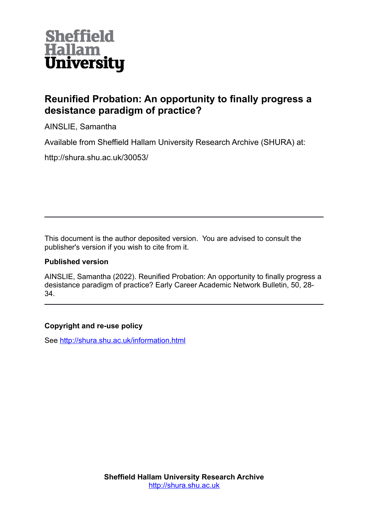

# **Reunified Probation: An opportunity to finally progress a desistance paradigm of practice?**

AINSLIE, Samantha

Available from Sheffield Hallam University Research Archive (SHURA) at:

http://shura.shu.ac.uk/30053/

This document is the author deposited version. You are advised to consult the publisher's version if you wish to cite from it.

## **Published version**

AINSLIE, Samantha (2022). Reunified Probation: An opportunity to finally progress a desistance paradigm of practice? Early Career Academic Network Bulletin, 50, 28- 34.

## **Copyright and re-use policy**

See<http://shura.shu.ac.uk/information.html>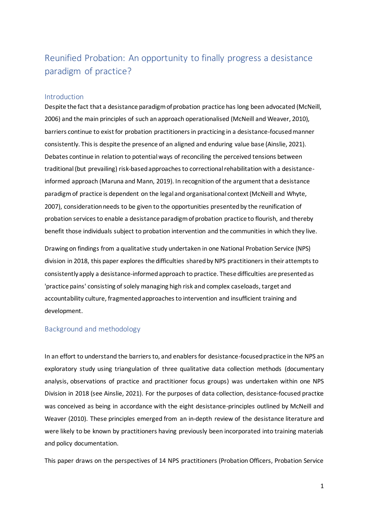## Reunified Probation: An opportunity to finally progress a desistance paradigm of practice?

#### Introduction

Despite the fact that a desistance paradigm of probation practice has long been advocated (McNeill, 2006) and the main principles of such an approach operationalised (McNeill and Weaver, 2010), barriers continue to exist for probation practitioners in practicing in a desistance-focused manner consistently. This is despite the presence of an aligned and enduring value base (Ainslie, 2021). Debates continue in relation to potential ways of reconciling the perceived tensions between traditional(but prevailing) risk-based approaches to correctional rehabilitation with a desistanceinformed approach (Maruna and Mann, 2019). In recognition of the argument that a desistance paradigm of practice is dependent on the legal and organisational context (McNeill and Whyte, 2007), consideration needs to be given to the opportunities presented by the reunification of probation services to enable a desistance paradigm of probation practice to flourish, and thereby benefit those individuals subject to probation intervention and the communities in which they live.

Drawing on findings from a qualitative study undertaken in one National Probation Service (NPS) division in 2018, this paper explores the difficulties shared by NPS practitioners in their attempts to consistently apply a desistance-informed approach to practice. These difficulties are presented as 'practice pains' consisting of solely managing high risk and complex caseloads, target and accountability culture, fragmented approaches to intervention and insufficient training and development.

## Background and methodology

In an effort to understand the barriers to, and enablers for desistance-focused practice in the NPS an exploratory study using triangulation of three qualitative data collection methods (documentary analysis, observations of practice and practitioner focus groups) was undertaken within one NPS Division in 2018 (see Ainslie, 2021). For the purposes of data collection, desistance-focused practice was conceived as being in accordance with the eight desistance-principles outlined by McNeill and Weaver (2010). These principles emerged from an in-depth review of the desistance literature and were likely to be known by practitioners having previously been incorporated into training materials and policy documentation.

This paper draws on the perspectives of 14 NPS practitioners (Probation Officers, Probation Service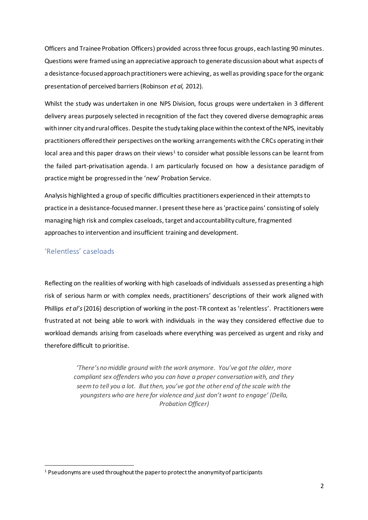Officers and Trainee Probation Officers) provided across three focus groups, each lasting 90 minutes. Questions were framed using an appreciative approach to generate discussion about what aspects of a desistance-focused approach practitioners were achieving, as well as providing space for the organic presentation of perceived barriers (Robinson *et al,* 2012).

Whilst the study was undertaken in one NPS Division, focus groups were undertaken in 3 different delivery areas purposely selected in recognition of the fact they covered diverse demographic areas with inner city and rural offices. Despite the study taking place within the context of the NPS, inevitably practitioners offered their perspectives on the working arrangements with the CRCs operating in their local area and this paper draws on their views<sup>1</sup> to consider what possible lessons can be learnt from the failed part-privatisation agenda. I am particularly focused on how a desistance paradigm of practice might be progressed in the 'new' Probation Service.

Analysis highlighted a group of specific difficulties practitioners experienced in their attempts to practice in a desistance-focused manner. I present these here as 'practice pains' consisting of solely managing high risk and complex caseloads, target and accountability culture, fragmented approaches to intervention and insufficient training and development.

#### 'Relentless' caseloads

Reflecting on the realities of working with high caseloads of individuals assessed as presenting a high risk of serious harm or with complex needs, practitioners' descriptions of their work aligned with Phillips *et al's*(2016) description of working in the post-TR context as 'relentless'. Practitioners were frustrated at not being able to work with individuals in the way they considered effective due to workload demands arising from caseloads where everything was perceived as urgent and risky and therefore difficult to prioritise.

> *'There's no middle ground with the work anymore. You've got the older, more compliant sex offenders who you can have a proper conversation with, and they seem to tell you a lot. But then, you've got the other end of the scale with the youngsters who are here for violence and just don't want to engage' (Della, Probation Officer)*

<sup>&</sup>lt;sup>1</sup> Pseudonyms are used throughout the paper to protect the anonymity of participants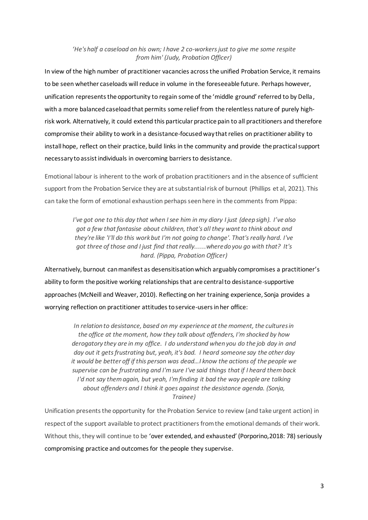#### *'He's half a caseload on his own; I have 2 co-workers just to give me some respite from him' (Judy, Probation Officer)*

In view of the high number of practitioner vacancies across the unified Probation Service, it remains to be seen whether caseloads will reduce in volume in the foreseeable future. Perhaps however, unification represents the opportunity to regain some of the 'middle ground' referred to by Della, with a more balanced caseload that permits some relief from the relentless nature of purely highrisk work. Alternatively, it could extend this particular practice pain to all practitioners and therefore compromise their ability to work in a desistance-focused way that relies on practitioner ability to install hope, reflect on their practice, build links in the community and provide the practical support necessary to assist individuals in overcoming barriers to desistance.

Emotional labour is inherent to the work of probation practitioners and in the absence of sufficient support from the Probation Service they are at substantial risk of burnout (Phillips et al, 2021). This can take the form of emotional exhaustion perhaps seen here in the comments from Pippa:

> *I've got one to this day that when I see him in my diary I just (deep sigh). I've also got a few that fantasise about children, that's all they want to think about and they're like 'I'll do this work but I'm not going to change'. That's really hard. I've got three of those and I just find that really......where do you go with that? It's hard. (Pippa, Probation Officer)*

Alternatively, burnout can manifest as desensitisation which arguably compromises a practitioner's ability to form the positive working relationships that are central to desistance-supportive approaches(McNeill and Weaver, 2010). Reflecting on her training experience, Sonja provides a worrying reflection on practitioner attitudes to service-users in her office:

*In relation to desistance, based on my experience at the moment, the cultures in the office at the moment, how they talk about offenders, I'm shocked by how derogatory they are in my office. I do understand when you do the job day in and day out it gets frustrating but, yeah, it's bad. I heard someone say the other day it would be better off if this person was dead…I know the actions of the people we supervise can be frustrating and I'm sure I've said things that if I heard them back I'd not say them again, but yeah, I'm finding it bad the way people are talking about offenders and I think it goes against the desistance agenda. (Sonja, Trainee)*

Unification presents the opportunity for the Probation Service to review (and take urgent action) in respect of the support available to protect practitioners from the emotional demands of their work. Without this, they will continue to be 'over extended, and exhausted' (Porporino,2018: 78) seriously compromising practice and outcomes for the people they supervise.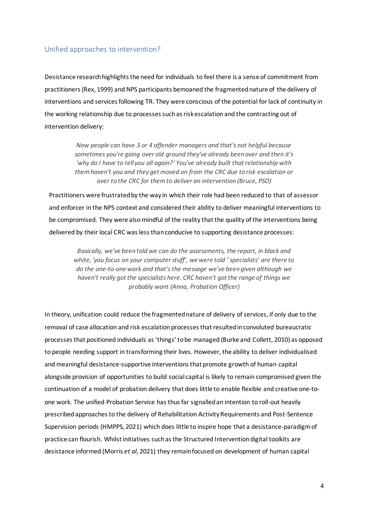## Unified approaches to intervention?

Desistance research highlights the need for individuals to feel there is a sense of commitment from practitioners (Rex, 1999) and NPS participants bemoaned the fragmented nature of the delivery of interventions and services following TR. They were conscious of the potential for lack of continuity in the working relationship due to processes such as risk escalation and the contracting out of intervention delivery:

> *Now people can have 3 or 4 offender managers and that's not helpful because sometimes you're going over old ground they've already been over and then it's 'why do I have to tell you all again?' You've already built that relationship with them haven't you and they get moved on from the CRC due to risk escalation or over to the CRC for them to deliver an intervention (Bruce, PSO)*

Practitioners were frustrated by the way in which their role had been reduced to that of assessor and enforcer in the NPS context and considered their ability to deliver meaningful interventions to be compromised. They were also mindful of the reality that the quality of the interventions being delivered by their local CRC was less than conducive to supporting desistance processes:

*Basically, we've been told we can do the assessments, the report, in black and white, 'you focus on your computer stuff', we were told '`specialists' are there to do the one-to-one work and that's the message we've been given although we haven't really got the specialists here. CRC haven't got the range of things we probably want (Anna, Probation Officer)*

In theory, unification could reduce the fragmented nature of delivery of services, if only due to the removal of case allocation and risk escalation processes that resulted in convoluted bureaucratic processes that positioned individuals as 'things' to be managed (Burke and Collett, 2010) as opposed to people needing support in transforming their lives. However, the ability to deliver individualised and meaningful desistance-supportive interventions that promote growth of human capital alongside provision of opportunities to build social capital is likely to remain compromised given the continuation of a model of probation delivery that does little to enable flexible and creative one-toone work. The unified Probation Service has thusfar signalled an intention to roll-out heavily prescribed approaches to the delivery of Rehabilitation Activity Requirements and Post-Sentence Supervision periods (HMPPS, 2021) which does little to inspire hope that a desistance-paradigm of practice can flourish. Whilst initiatives such as the Structured Intervention digital toolkits are desistance informed (Morris *et al*, 2021) they remain focused on development of human capital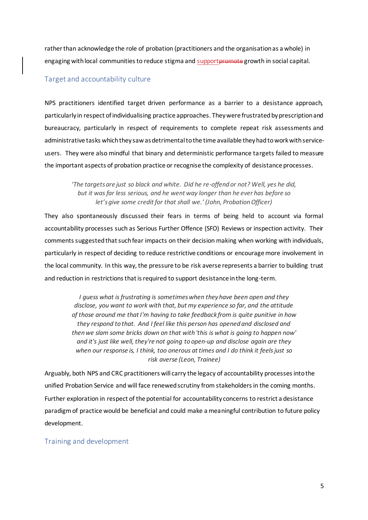rather than acknowledge the role of probation (practitioners and the organisation as a whole) in engaging with local communities to reduce stigma and supportpromote growth in social capital.

#### Target and accountability culture

NPS practitioners identified target driven performance as a barrier to a desistance approach, particularly in respect of individualising practice approaches. They were frustrated by prescription and bureaucracy, particularly in respect of requirements to complete repeat risk assessments and administrative tasks which they saw as detrimental to the time available they had to work with serviceusers. They were also mindful that binary and deterministic performance targets failed to measure the important aspects of probation practice or recognise the complexity of desistance processes.

*'The targets are just so black and white. Did he re-offend or not? Well, yes he did, but it was far less serious, and he went way longer than he ever has before so let's give some credit for that shall we.' (John, Probation Officer)*

They also spontaneously discussed their fears in terms of being held to account via formal accountability processes such as Serious Further Offence (SFO) Reviews or inspection activity. Their comments suggested that such fear impacts on their decision making when working with individuals, particularly in respect of deciding to reduce restrictive conditions or encourage more involvement in the local community. In this way, the pressure to be risk averse represents a barrier to building trust and reduction in restrictions that is required to support desistance in the long-term.

*I guess what is frustrating is sometimes when they have been open and they disclose, you want to work with that, but my experience so far, and the attitude of those around me that I'm having to take feedback from is quite punitive in how they respond to that. And I feel like this person has opened and disclosed and then we slam some bricks down on that with 'this is what is going to happen now' and it's just like well, they're not going to open-up and disclose again are they when our response is, I think, too onerous at times and I do think it feels just so risk averse (Leon, Trainee)*

Arguably, both NPS and CRC practitioners will carry the legacy of accountability processes into the unified Probation Service and will face renewed scrutiny from stakeholders in the coming months. Further exploration in respect of the potential for accountability concerns to restrict a desistance paradigm of practice would be beneficial and could make a meaningful contribution to future policy development.

#### Training and development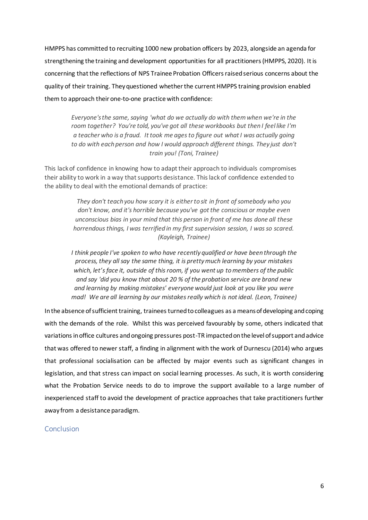HMPPS has committed to recruiting 1000 new probation officers by 2023, alongside an agenda for strengthening the training and development opportunities for all practitioners (HMPPS, 2020). It is concerning that the reflections of NPS Trainee Probation Officers raised serious concerns about the quality of their training. They questioned whether the current HMPPS training provision enabled them to approach their one-to-one practice with confidence:

*Everyone's the same, saying 'what do we actually do with them when we're in the room together? You're told, you've got all these workbooks but then I feel like I'm a teacher who is a fraud. It took me ages to figure out what I was actually going to do with each person and how I would approach different things. They just don't train you! (Toni, Trainee)*

This lack of confidence in knowing how to adapt their approach to individuals compromises their ability to work in a way that supports desistance. This lack of confidence extended to the ability to deal with the emotional demands of practice:

> *They don't teach you how scary it is either to sit in front of somebody who you don't know, and it's horrible because you've got the conscious or maybe even unconscious bias in your mind that this person in front of me has done all these horrendous things, I was terrified in my first supervision session, I was so scared. (Kayleigh, Trainee)*

*I think people I've spoken to who have recently qualified or have been through the process, they all say the same thing, it is pretty much learning by your mistakes which, let's face it, outside of this room, if you went up to members of the public and say 'did you know that about 20 % of the probation service are brand new and learning by making mistakes' everyone would just look at you like you were mad! We are all learning by our mistakes really which is not ideal. (Leon, Trainee)*

In the absence of sufficient training, traineesturnedto colleagues as a means of developing and coping with the demands of the role. Whilst this was perceived favourably by some, others indicated that variations in office cultures and ongoing pressures post-TR impactedon the level of support and advice that was offered to newer staff, a finding in alignment with the work of Durnescu (2014) who argues that professional socialisation can be affected by major events such as significant changes in legislation, and that stress can impact on social learning processes. As such, it is worth considering what the Probation Service needs to do to improve the support available to a large number of inexperienced staff to avoid the development of practice approaches that take practitioners further away from a desistance paradigm.

#### **Conclusion**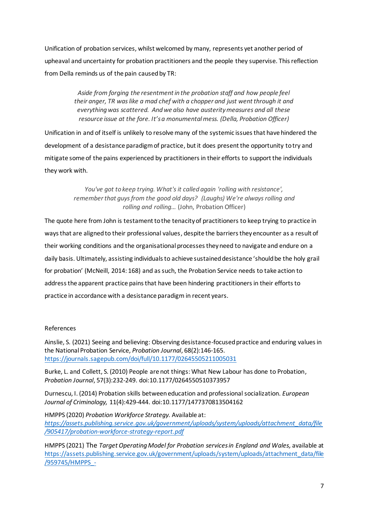Unification of probation services, whilst welcomed by many, represents yet another period of upheaval and uncertainty for probation practitioners and the people they supervise. This reflection from Della reminds us of the pain caused by TR:

> *Aside from forging the resentment in the probation staff and how people feel their anger, TR was like a mad chef with a chopper and just went through it and everything was scattered. And we also have austerity measures and all these resource issue at the fore. It's a monumental mess. (Della, Probation Officer)*

Unification in and of itself is unlikely to resolve many of the systemic issues that have hindered the development of a desistance paradigm of practice, but it does present the opportunity to try and mitigate some of the pains experienced by practitioners in their efforts to support the individuals they work with.

> *You've got to keep trying. What's it called again 'rolling with resistance', remember that guys from the good old days? (Laughs) We're always rolling and rolling and rolling…* (John, Probation Officer)

The quote here from John is testament to the tenacity of practitioners to keep trying to practice in ways that are aligned to their professional values, despite the barriers they encounter as a result of their working conditions and the organisational processes they need to navigate and endure on a daily basis. Ultimately, assisting individuals to achieve sustained desistance 'should be the holy grail for probation' (McNeill, 2014: 168) and as such, the Probation Service needs to take action to address the apparent practice pains that have been hindering practitioners in their efforts to practice in accordance with a desistance paradigm in recent years.

#### References

Ainslie, S. (2021) Seeing and believing: Observing desistance-focused practice and enduring values in the National Probation Service, *Probation Journal*, 68(2):146-165. <https://journals.sagepub.com/doi/full/10.1177/02645505211005031>

Burke, L. and Collett, S. (2010) People are not things: What New Labour has done to Probation, *Probation Journal*, 57(3):232-249. doi:10.1177/0264550510373957

Durnescu, I. (2014) Probation skills between education and professional socialization. *European Journal of Criminology,* 11(4):429-444. doi:10.1177/1477370813504162

HMPPS (2020) *Probation Workforce Strategy.* Available at: *[https://assets.publishing.service.gov.uk/government/uploads/system/uploads/attachment\\_data/file](https://assets.publishing.service.gov.uk/government/uploads/system/uploads/attachment_data/file/905417/probation-workforce-strategy-report.pdf) [/905417/probation-workforce-strategy-report.pdf](https://assets.publishing.service.gov.uk/government/uploads/system/uploads/attachment_data/file/905417/probation-workforce-strategy-report.pdf)*

HMPPS (2021) The *Target Operating Model for Probation services in England and Wales,* available at [https://assets.publishing.service.gov.uk/government/uploads/system/uploads/attachment\\_data/file](https://assets.publishing.service.gov.uk/government/uploads/system/uploads/attachment_data/file/959745/HMPPS_-_The_Target_Operating_Model_for_the_Future_of_Probation_Services_in_England___Wales_-__English__-_09-02-2021.pdf) [/959745/HMPPS\\_-](https://assets.publishing.service.gov.uk/government/uploads/system/uploads/attachment_data/file/959745/HMPPS_-_The_Target_Operating_Model_for_the_Future_of_Probation_Services_in_England___Wales_-__English__-_09-02-2021.pdf)